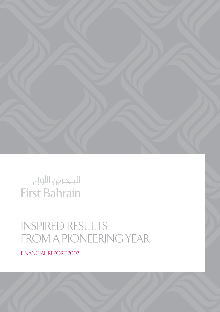

البحرين الأولى **First Bahrain** 

# Inspired results FROM A PIONEERING YEAR

Financial Report 2007

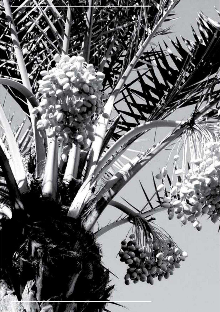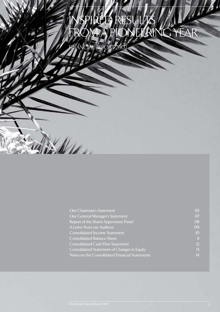# Inspired results from a pioneering year

**F200** 

1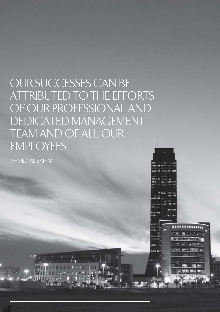Our successes can be ATTRIBUTED TO THE EFFORTS of our professional and dedicated management team and of all our **EMPLOYEES** 

**4 4 First Bahrain Financial Report 2007**

Ahmed AL Bahar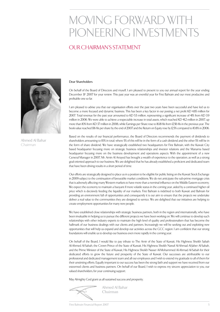# Moving forward with PIONEERING INVESTMENT

# OUR CHAIRMAN'S STATEMENT



**Ahmed Al Bahar**  Chairman

#### **Dear Shareholders**

On behalf of the Board of Directors and myself, I am pleased to present to you our annual report for the year ending December 3<sup>1st</sup> 2007 for your review. This past year was an eventful year for First Bahrain and our most productive and profitable one so far.

I am pleased to advise you that our organisation efforts over the past two years have been successful and have led us to become a more focused and dynamic business. This has been a key factor in our posting a net profit KD 4.85 million for 2007. Total revenue for the past year amounted to KD 5.5 million, representing a significant increase of 41% from KD 3.9 million in 2006. We were able to achieve a respectable increase in total assets, which reached KD 412 million in 2007, up more than 10% from KD 37 million in 2006, while Earnings per Share rose to 16.18 fils from 12.56 fils in the previous year. The book value reached 136 fils per share by the end of 2007 and the Return on Equity rose by 12.5% compared to 10.8% in 2006.

Based on the results of our financial performance, the Board of Directors recommends the payment of dividends to shareholders amounting to 10% in total; where 5% of this will be in the form of a cash dividend and the other 5% will be in the form of share dividend. We have strategically established two headquarters for First Bahrain, with the Kuwait City based headquarter focusing more on strategic business relationships and investor relations and the Manama based headquarter focusing more on the business development and operations aspects. With the appointment of a new General Manager in 2007, Mr. Amin Al Arrayed has brought a wealth of experience to the operation, as well as a strong goal oriented approach to our business. We are delighted that he has already established a proficient and dedicated team that have been driving results in a short period of time.

Our efforts are strategically designed to place us in a position to be eligible for public listing on the Kuwait Stock Exchange in 2009 subject to the continuation of favourable market conditions. We do not anticipate the sub-prime mortgage crisis that is adversely affecting many Western markets to have more than a nominal influence on the Middle Eastern economy. We expect the economy to maintain a buoyant if more volatile status in the coming year, aided by a continued higher oil price which is decisively feeding the liquidity of our markets. First Bahrain is indebted to both Kuwait and Bahrain for providing an environment full of opportunities and consequently it is our aim to ensure that the projects we undertake deliver a real value to the communities they are designed to service. We are delighted that our initiatives are helping to create employment opportunities for many new people.

We have established close relationships with strategic business partners, both in the region and internationally, who have been invaluable in helping us to pursue the different projects we have been working on. We will continue to develop such relationships with other industry experts to maintain the high level of quality and professionalism that has become the hallmark of our business dealings with our clients and partners. Increasingly we will be seeking out and exploiting new opportunities that will help us expand and develop our activities across the GCC region. I am confident that our strong foundations will enable us to develop our business even more rapidly in the coming year.

On behalf of the Board, I would like to pay tribute to The Amir of the State of Kuwait, His Highness Sheikh Sabah Al-Ahmed Al-Sabah, the Crown Prince of the State of Kuwait, His Highness Sheikh Nawaf Al-Ahmad Al-Jaber Al-Sabah, and the Prime Minister of the State of Kuwait, His Highness Sheikh Nasser Al-Mohammed Al-Ahmad Al-Sabah for their dedicated efforts to grow the future and prosperity of the State of Kuwait. Our successes are attributable to our professional and dedicated management team and all our employees and I wish to extend my gratitude to all of them for their unstinting efforts. Equally important to our success has been the strong faith and support we have received from our esteemed clients and business partners. On behalf of our Board, I wish to express my sincere appreciation to you, our valued shareholders, for your continuing support.

May Almighty God grant us all sustained success and prosperity.



**Ahmed Al Bahar**  Chairman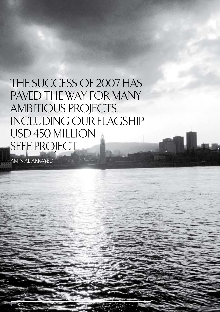The success of 2007 has paved the way for many AMBITIOUS PROJECTS, Including Our flagship USD 450 million Seef Project.

**6 6 First Bahrain Financial Report 2007**

Amin al Arrayed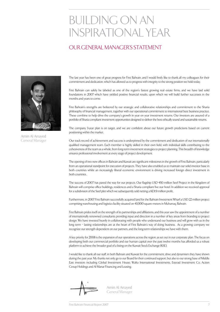# Building on an Inspirational year

# OUR GENERAL MANAGER'S STATEMENT



The last year has been one of great progress for First Bahrain, and I would firstly like to thank all my colleagues for their commitment and dedication, which has allowed us to progress with integrity to the strong position we hold today.

First Bahrain can safely be labeled as one of the region's fastest growing real estate firms, and we have laid solid foundations in 2007 which have yielded positive financial results, upon which we will build further successes in the months and years to come.

First Bahrain's strengths are bolstered by our strategic and collaborative relationships and commitment to the Sharia philosophy of financial management, together with our operational commitment to international best business practice. These combine to help drive the company's growth in year on year investment returns. Our investors are assured of a portfolio of Sharia compliant investment opportunities designed to deliver the best ethically sound and sustainable returns.

The company 3-year plan is on target, and we are confident about our future growth predictions based on current positioning within the market.

Our track record of achievement and success is underpinned by the commitment and dedication of our internationally qualified management team. Each member is highly skilled in their own field, with individual skills contributing to the cohesiveness of the team as a whole, from long-term investment strategies to project planning. This breadth of knowledge ensures professional involvement at every stage of project development.

The opening of two new offices in Bahrain and Kuwait are significant milestones in the growth of First Bahrain, particularly from an operational standpoint for execution of projects. They have also enabled us to maintain our solid investor base in both countries whilst an increasingly liberal economic environment is driving increased foreign direct investment in both countries.

The success of 2007 has paved the way for our projects. Our flagship USD 450 million Seef Project in the Kingdom of Bahrain will comprise office buildings, residences and a Sharia compliant five star hotel. In addition we received approval for a subdivision of the Seef plot which we subsequently sold netting a KD1.9 million profit.

Furthermore, in 2007 First Bahrain successfully acquired land for the Bahrain Investment Wharf a USD 22 million project comprising warehousing and logistics facility situated on 43,000 square meters in Muharraq, Bahrain.

First Bahrain prides itself on the strength of its partnerships and affiliations, and this year saw the appointment of a number of internationally renowned consultants providing input and direction in a number of key areas from branding to project design. We have invested heavily in collaborating with people who understand our business and will grow with us in the long term – lasting relationships are at the heart of First Bahrain's way of doing business. As a growing company we recognize our strength dependent on our partners, and the long-term relationships we have with them.

A key priority for 2008 is the expansion of our operations across the region, as set out in our corporate plan. The focus on developing both our commercial portfolio and our human capital over the past twelve months has afforded us a robust platform to achieve the broader goal of a listing on the Kuwait Stock Exchange (KSE).

I would like to thank all our staff, in both Bahrain and Kuwait for the commitment, drive and dynamism they have shown during the past year. My thanks not only go to our Board for their continued support, but also to our strong base of Middle East investors including Global Investment House, Wafra International Investments, Esterad Investment Co, Action Group Holdings and Al Manar Financing and Leasing.



**Amin Al Arrayed** General Manager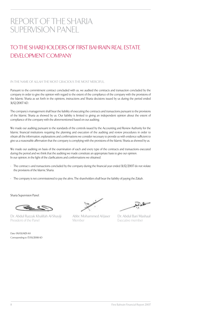# REPORT OF THE SHARIA SUPERVISION PANEL

# TO THE SHAREHOLDERS OF FIRST BAHRAIN REAL ESTATE DEVELOPMENT COMPANY

**In The Name Of Allah The Most Gracious The Most Merciful.**

Pursuant to the commitment contract concluded with us, we audited the contracts and transaction concluded by the company in order to give the opinion with regard to the extent of the compliance of the company with the provisions of the Islamic Sharia as set forth in the opinions, instructions and Sharia decisions issued by us during the period ended 31/12/2007 AD.

The company's management shall bear the liability of executing the contracts and transactions pursuant to the provisions of the Islamic Sharia as showed by us. Our liability is limited to giving an independent opinion about the extent of compliance of the company with the aforementioned based on our auditing.

We made our auditing pursuant to the standards of the controls issued by the Accounting and Review Authority for the Islamic financial institutions requiring the planning and execution of the auditing and review procedures in order to obtain all the information, explanations and confirmations we consider necessary to provide us with evidence sufficient to give us a reasonable affirmation that the company is complying with the provisions of the Islamic Sharia as showed by us.

We made our auditing on basis of the examination of each and every type of the contracts and transactions executed during the period and we think that the auditing we made constitute an appropriate basis to give our opinion. In our opinion, in the light of the clarifications and conformations we obtained:

- The contract s and transactions concluded by the company during the financial year ended 31/12/2007 do not violate the provisions of the Islamic Sharia.
- The company is not commissioned to pay the alms. The shareholders shall bear the liability of paying the Zakah.

Sharia Supervision Panel:

 $\sigma$ 

**Dr. Abdul Razzak Khalifah Al-Shayiji Abbr. Mohammed Al-Jaser Dr. Abdul Bari Mashaal** President of the Panel **Member** Member **Executive member** Executive member

Date: 09/03/1429 AH Corresponding to: 17/03/2008 AD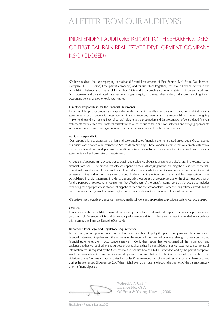# A letter from our Auditors

# INDEPENDENT AUDITORS' REPORT TO THE SHAREHOLDERS' of FIRST BAHRAIN REAL ESTATE DEVELOPMENT COMPANY K.S.C. (CLOSED)

We have audited the accompanying consolidated financial statements of First Bahrain Real Estate Development Company K.S.C. (Closed) ("the parent company") and its subsidiary (together, "the group"), which comprise the consolidated balance sheet as at 31 December 2007 and the consolidated income statement, consolidated cash flow statement and consolidated statement of changes in equity for the year then ended, and a summary of significant accounting policies and other explanatory notes.

#### **Directors' Responsibility for the Financial Statements**

Directors of the parent company are responsible for the preparation and fair presentation of these consolidated financial statements in accordance with International Financial Reporting Standards. This responsibility includes: designing, implementing and maintaining internal control relevant to the preparation and fair presentation of consolidated financial statements that are free from material misstatement, whether due to fraud or error; selecting and applying appropriate accounting policies; and making accounting estimates that are reasonable in the circumstances.

#### **Auditors' Responsibility**

Our responsibility is to express an opinion on these consolidated financial statements based on our audit. We conducted our audit in accordance with International Standards on Auditing. Those standards require that we comply with ethical requirements and plan and perform the audit to obtain reasonable assurance whether the consolidated financial statements are free from material misstatement.

An audit involves performing procedures to obtain audit evidence about the amounts and disclosures in the consolidated financial statements. The procedures selected depend on the auditor's judgement, including the assessment of the risks of material misstatement of the consolidated financial statements, whether due to fraud or error. In making those risk assessments, the auditor considers internal control relevant to the entity's preparation and fair presentation of the consolidated financial statements in order to design audit procedures that are appropriate for the circumstances, but not for the purpose of expressing an opinion on the effectiveness of the entity's internal control. An audit also includes evaluating the appropriateness of accounting policies used and the reasonableness of accounting estimates made by the group's management, as well as evaluating the overall presentation of the consolidated financial statements.

We believe that the audit evidence we have obtained is sufficient and appropriate to provide a basis for our audit opinion.

#### **Opinion**

In our opinion, the consolidated financial statements present fairly, in all material respects, the financial position of the group as of 31 December 2007, and its financial performance and its cash flows for the year then ended in accordance with International Financial Reporting Standards.

#### **Report on Other Legal and Regulatory Requirements**

Furthermore, in our opinion proper books of account have been kept by the parent company and the consolidated financial statements, together with the contents of the report of the board of directors relating to these consolidated financial statements, are in accordance therewith. We further report that we obtained all the information and explanations that we required for the purpose of our audit and that the consolidated financial statements incorporate all information that is required by the Commercial Companies Law of 1960, as amended, and by the parent company's articles of association, that an inventory was duly carried out and that, to the best of our knowledge and belief, no violations of the Commercial Companies Law of 1960, as amended, nor of the articles of association have occurred during the year ended 31 December 2007 that might have had a material effect on the business of the parent company or on its financial position.

**Waleed A. Al Osaimi** Licence No. 68 A Of Ernst & Young, Kuwait, 2008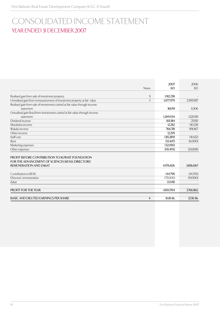# Consolidated Income Statement Year ended 31 december 2007

|                                                                                                       | <b>Notes</b>            | 2007<br>KD | 2006<br>KD   |
|-------------------------------------------------------------------------------------------------------|-------------------------|------------|--------------|
|                                                                                                       |                         |            |              |
| Realised gain from sale of investment property                                                        | 3                       | 1.912.258  |              |
| Unrealised gain from remeasurement of investment property at fair value                               | $\overline{\mathbf{3}}$ | 1.077.979  | 2.995.987    |
| Realised gain from sale of investments carried at fair value through income                           |                         |            |              |
| statement                                                                                             |                         | 361.191    | 6.506        |
| Unrealised gain (loss) from investments carried at fair value through income                          |                         |            |              |
| statement                                                                                             |                         | 1.269.034  | (221,051)    |
| Dividend income                                                                                       |                         | 101384     | 25.150       |
| Murabaha income                                                                                       |                         | 12.282     | 130.238      |
| Wakala income                                                                                         |                         | 766.718    | 991.467      |
| Other income                                                                                          |                         | 12.259     |              |
| Staff cost                                                                                            |                         | (315.289)  | (41, 422)    |
| Rent                                                                                                  |                         | (53.447)   | (6,000)      |
| Marketing expenses                                                                                    |                         | (32.050)   |              |
| Other expenses                                                                                        |                         | (135, 493) | (24,808)     |
| PROFIT BEFORE CONTRIBUTION TO KUWAIT FOUNDATION<br>FOR THE ADVANCEMENT OF SCIENCES (KFAS), DIRECTORS' |                         |            |              |
| REMUNERATION AND ZAKAT                                                                                |                         | 4.976.826  | 3.856.067    |
| Contribution to KFAS                                                                                  |                         | (44,791)   | (34,705)     |
| Directors' remuneration                                                                               |                         | (75.000)   | (54,500)     |
| Zakat                                                                                                 |                         | (3,041)    |              |
| PROFIT FOR THE YEAR                                                                                   |                         | 4.853.994  | 3,766,862    |
| <b>BASIC AND DILUTED EARNINGS PER SHARE</b>                                                           | $\overline{4}$          | 16.18 fils | $12.56$ fils |
|                                                                                                       |                         |            |              |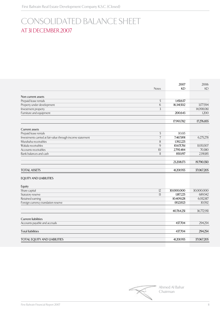# Consolidated Balance sheet AT 31 DECEMBER 2007

|                                                                 | 2007       | 2006       |
|-----------------------------------------------------------------|------------|------------|
| <b>Notes</b>                                                    | <b>KD</b>  | KD         |
| Non current assets                                              |            |            |
| 5<br>Prepaid lease rentals                                      | 1,451,637  |            |
| 6<br>Property under development                                 | 16,341,502 | 3,177,594  |
| $\overline{3}$<br>Investment property                           |            | 14,098,061 |
| Furniture and equipment                                         | 200,643    | 1200       |
|                                                                 | 17.993.782 | 17,276,855 |
| <b>Current assets</b>                                           |            |            |
| Prepaid lease rentals<br>5                                      | 30,615     |            |
| 7<br>Investments carried at fair value through income statement | 7,467,891  | 6,275,278  |
| $8\,$<br>Murabaha receivables                                   | 1,392,225  |            |
| Wakala receivables<br>9                                         | 10,671,761 | 11,053,507 |
| 10<br>Accounts receivables                                      | 2,795,484  | 70,380     |
| Bank balances and cash<br>11                                    | 850,197    | 2,391,185  |
|                                                                 | 23,208,173 | 19,790,350 |
| <b>TOTAL ASSETS</b>                                             | 41,201,955 | 37,067,205 |
| EQUITY AND LIABILITIES                                          |            |            |
| Equity                                                          |            |            |
| Share capital<br>12                                             | 30,000,000 | 30,000,000 |
| 13<br>Statutory reserve                                         | 1,187,225  | 689,542    |
| Retained earning                                                | 10,409,128 | 6,052,817  |
| Foreign currency translation reserve                            | (832,102)  | 30,592     |
|                                                                 | 40,764,251 | 36,772,951 |
| <b>Current liabilities</b>                                      |            |            |
| Accounts payable and accruals                                   | 437,704    | 294,254    |
| <b>Total liabilities</b>                                        | 437,704    | 294,254    |
| <b>TOTAL EQUITY AND LIABILITIES</b>                             | 41,201,955 | 37.067.205 |



**Ahmed Al Bahar**  Chairman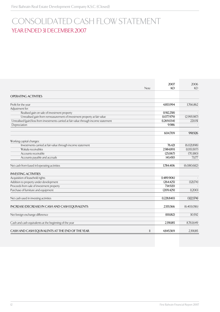# CONSOLIDATED CASH FLOW STATEMENT Year ended 31 december 2007

|                                                                                        | 2007        | 2006        |
|----------------------------------------------------------------------------------------|-------------|-------------|
| Note                                                                                   | <b>KD</b>   | KD          |
| <b>OPERATING ACTIVITIES</b>                                                            |             |             |
|                                                                                        |             |             |
| Profit for the year                                                                    | 4.853.994   | 3.766.862   |
| Adjustment for:                                                                        |             |             |
| Realised gain on sale of investment property                                           | (1,912,258) |             |
| Unrealised gain from remeasurement of investment property at fair value                | (1,077,979) | (2.995.987) |
| Unrealised (gain) loss from investments carried at fair value through income statement | (1,269,034) | 221.051     |
| Depreciation                                                                           | 9,986       |             |
|                                                                                        | 604,709     | 991,926     |
| Working capital changes:                                                               |             |             |
| Investments carried at fair value through income statement                             | 76.421      | (6,021,898) |
| Wakala receivables                                                                     | 2,984,893   | (1,053,507) |
| Accounts receivable                                                                    | (25.067)    | (70,380)    |
| Accounts payable and accruals                                                          | 143.450     | 73,177      |
| Net cash from (used in) operating activities                                           | 3.784.406   | (6,080,682) |
| <b>INVESTING ACTIVITIES</b>                                                            |             |             |
| Acquisition of leasehold rights                                                        | (1,489,906) |             |
| Addition to property under development                                                 | (264, 425)  | (321,174)   |
| Proceeds from sale of investment property                                              | 734.920     |             |
| Purchase of furniture and equipment                                                    | (209, 429)  | (1200)      |
| Net cash used in investing activities                                                  | (1.228.840) | (322,374)   |
| INCREASE (DECREASE) IN CASH AND CASH EQUIVALENTS                                       | 2.555.566   | (6,403,056) |
| Net foreign exchange difference                                                        | (101,182)   | 30.592      |
| Cash and cash equivalents at the beginning of the year                                 | 2.391.185   | 8.763.649   |
| CASH AND CASH EQUIVALENTS AT THE END OF THE YEAR<br>11                                 | 4.845.569   | 2.391.185   |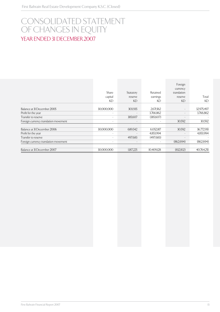# CONSOLIDATED STATEMENT OF CHANGES IN EQUITY YEAR ENDED 31 DECEMBER 2007

|                                       |                          |                          |            | Foreign<br>currency |            |
|---------------------------------------|--------------------------|--------------------------|------------|---------------------|------------|
|                                       | Share                    | Statutory                | Retained   | translation         |            |
|                                       | capital                  | reserve                  | earnings   | reserve             | Total      |
|                                       | KD                       | KD                       | KD         | KD                  | <b>KD</b>  |
|                                       |                          |                          |            |                     |            |
| Balance at 31 December 2005           | 30.000.000               | 303.935                  | 2,671,562  |                     | 32,975,497 |
| Profit for the year                   |                          |                          | 3.766.862  |                     | 3.766.862  |
| Transfer to reserve                   |                          | 385.607                  | (385,607)  |                     |            |
| Foreign currency translation movement | ٠.                       | $\overline{\phantom{a}}$ |            | 30.592              | 30,592     |
|                                       |                          |                          |            |                     |            |
| Balance at 31 December 2006           | 30.000.000               | 689.542                  | 6,052,817  | 30.592              | 36,772,951 |
| Profit for the year                   | $\overline{\phantom{a}}$ |                          | 4,853,994  |                     | 4,853,994  |
| Transfer to reserve                   |                          | 497.683                  | (497.683)  |                     |            |
| Foreign currency translation movement | $\overline{\phantom{a}}$ |                          |            | (862.694)           | (862, 694) |
|                                       |                          |                          |            |                     |            |
| Balance at 31 December 2007           | 30.000.000               | 1,187,225                | 10,409,128 | (832,102)           | 40.764.251 |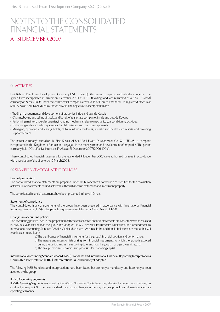# NOTES TO THE CONSOLIDATED FINANCIAL STATEMENTS AT 31 DECEMBER 2007

### 01 ACTIVITIES

First Bahrain Real Estate Development Company K.S.C. (Closed) ("the parent company") and subsidiary (together, the "group") was incorporated in Kuwait on 5 October 2004 as K.S.C. (Holding) and was registered as a K.S.C. (Closed) company on 9 May 2005 under the commercial companies law No. 15 of 1960 as amended. Its registered office is at Souk Al Safat, Abdulla Al Mubarak Street, Kuwait. The objects of its incorporation are:

- Trading, management and development of properties inside and outside Kuwait.
- Owning, buying and selling of stocks and bonds of real estate companies inside and outside Kuwait.
- Performing maintenance of properties, including mechanical, electro-mechanical, air conditioning activities.
- Performing real estate advisory services, feasibility studies and real estate appraisals.
- Managing, operating and leasing hotels, clubs, residential buildings, touristic and health care resorts and providing support services.

The parent company's subsidiary is "First Kuwait Al Seef Real Estate Development Co. W.L.L."(FKAS), a company incorporated in the Kingdom of Bahrain and engaged in the management and development of properties. The parent company held 100% effective interest in FKAS as at 31 December 2007 (2006: 100%).

These consolidated financial statements for the year ended 31 December 2007 were authorised for issue in accordance with a resolution of the directors on 5 March 2008.

# 02 SIGNIFICANT ACCOUNTING POLICIES

#### **Basis of preparation**

The consolidated financial statements are prepared under the historical cost convention as modified for the revaluation at fair value of investments carried at fair value through income statement and investment property.

The consolidated financial statements have been presented in Kuwaiti Dinars.

#### **Statement of compliance**

The consolidated financial statements of the group have been prepared in accordance with International Financial Reporting Standards (IFRS) and applicable requirements of Ministerial Order No. 18 of 1990.

#### **Changes in accounting policies**

The accounting policies used in the preparation of these consolidated financial statements are consistent with those used in previous year except that the group has adopted IFRS 7 Financial Instruments: Disclosures and amendment to International Accounting Standard (IAS) 1 – Capital disclosures. As a result the additional disclosures are made that will enable users to evaluate:

- a) The significance of financial instruments for the group's financial position and performance;
- b) The nature and extent of risks arising from financial instruments to which the group is exposed during the period and at the reporting date, and how the group manages those risks; and
- 
- c) The group's objectives, policies and processes for managing capital.

#### **International Accounting Standards Board (IASB) Standards and International Financial Reporting Interpretations Committee Interpretation (IFRIC) Interpretations issued but not yet adopted.**

The following IASB Standards and Interpretations have been issued but are not yet mandatory, and have not yet been adopted by the group:

#### **IFRS 8 Operating Segments**

IFRS 8 Operating Segments was issued by the IASB in November 2006, becoming effective for periods commencing on or after 1 January 2009. The new standard may require changes in the way the group discloses information about its operating segments.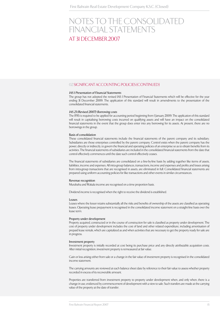# NOTES TO THE CONSOLIDATEI FINANCIAL STATEMENTS AT 31 DECEMBER 2007

### 02 SIGNIFICANT ACCOUNTING POLICIES (CONTINUED)

#### **IAS 1 Presentation of Financial Statements**

The group has not adopted the revised IAS 1 Presentation of Financial Statements which will be effective for the year ending 31 December 2009. The application of this standard will result in amendments to the presentation of the consolidated financial statements.

#### **IAS 23 (Revised 2007): Borrowing costs**

The IFRS is required to be applied for accounting period beginning from 1 January 2009. The application of this standard will result in capitalising borrowing costs incurred on qualifying assets and will have an impact on the consolidated financial statements in the event that the group does enter into any borrowing for its assets. At present, there are no borrowings in the group.

#### **Basis of consolidation**

These consolidated financial statements include the financial statements of the parent company and its subsidiary. Subsidiaries are those enterprises controlled by the parent company. Control exists when the parent company has the power, directly or indirectly, to govern the financial and operating policies of an enterprise so as to obtain benefits from its activities. The financial statements of subsidiaries are included in the consolidated financial statements from the date that control effectively commences until the date such control effectively ceases.

The financial statements of subsidiaries are consolidated on a line-by-line basis by adding together like items of assets, liabilities, income and expenses. All intra-group balances, transactions, income and expenses and profits and losses arising from intra-group transactions that are recognised in assets, are eliminated in full. Consolidated financial statements are prepared using uniform accounting policies for like transactions and other events in similar circumstances.

#### **Revenue recognition**

Murabaha and Wakala income are recognised on a time proportion basis.

Dividend income is recognised when the right to receive the dividend is established.

#### **Leases**

Leases where the lessor retains substantially all the risks and benefits of ownership of the assets are classified as operating leases. Operating lease prepayment is recognised in the consolidated income statement on a straight-line basis over the lease term.

#### **Property under development**

Property acquired, constructed or in the course of construction for sale is classified as property under development. The cost of property under development includes the cost of land and other related expenditure, including amortisation of prepaid lease rentals, which are capitalized as and when activities that are necessary to get the property ready for sale are in progress.

#### **Investment property**

Investment property is initially recorded at cost being its purchase price and any directly attributable acquisition costs. After initial recognition, investment property is remeasured at fair value.

Gain or loss arising either from sale or a change in the fair value of investment property is recognised in the consolidated income statement.

The carrying amounts are reviewed at each balance sheet date by reference to their fair value to assess whether property recorded in excess of its recoverable amount.

Properties are transferred from investment property to property under development when, and only when, there is a change in use, evidenced by commencement of development with a view to sale. Such transfers are made at the carrying value of the property at the date of transfer.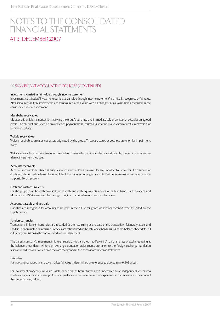### 02 SIGNIFICANT ACCOUNTING POLICIES (CONTINUED)

#### **Investments carried at fair value through income statement**

Investments classified as "Investments carried at fair value through income statement" are initially recognised at fair value. After initial recognition, investments are remeasured at fair value with all changes in fair value being recorded in the consolidated income statement.

#### **Murabaha receivables**

Murabaha is an Islamic transaction involving the group's purchase and immediate sale of an asset at cost plus an agreed profit. The amount due is settled on a deferred payment basis. Murabaha receivables are stated at cost less provision for impairment, if any.

### **Wakala receivables**

Wakala receivables are financial assets originated by the group. These are stated at cost less provision for impairment, if any.

Wakala receivables comprise amounts invested with financial institution for the onward deals by this institution in various Islamic investment products.

### **Accounts receivable**

Accounts receivable are stated at original invoice amount less a provision for any uncollectible amounts. An estimate for doubtful debts is made when collection of the full amount is no longer probable. Bad debts are written off when there is no possibility of recovery.

#### **Cash and cash equivalents**

For the purpose of the cash flow statement, cash and cash equivalents consist of cash in hand, bank balances and Murabaha and Wakala receivables having an original maturity date of three months or less.

#### **Accounts payable and accruals**

Liabilities are recognised for amounts to be paid in the future for goods or services received, whether billed by the supplier or not.

#### **Foreign currencies**

Transactions in foreign currencies are recorded at the rate ruling at the date of the transaction. Monetary assets and liabilities denominated in foreign currencies are retranslated at the rate of exchange ruling at the balance sheet date. All differences are taken to the consolidated income statement.

The parent company's investment in foreign subsidiary is translated into Kuwaiti Dinars at the rate of exchange ruling at the balance sheet date. All foreign exchange translation adjustments are taken to the foreign exchange translation reserve until disposal at which time they are recognised in the consolidated income statement.

#### **Fair value**

For investments traded in an active market, fair value is determined by reference to quoted market bid prices.

For investment properties, fair value is determined on the basis of a valuation undertaken by an independent valuer who holds a recognised and relevant professional qualification and who has recent experience in the location and category of the property being valued.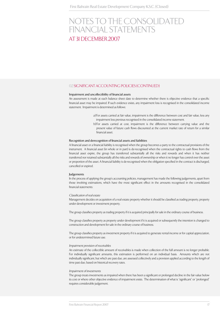# NOTES TO THE CONSOLIDATED FINANCIAL STATEMENTS AT 31 DECEMBER 2007

### 02 SIGNIFICANT ACCOUNTING POLICIES (CONTINUED)

#### **Impairment and uncollectibility of financial assets**

An assessment is made at each balance sheet date to determine whether there is objective evidence that a specific financial asset may be impaired. If such evidence exists, any impairment loss is recognised in the consolidated income statement. Impairment is determined as follows:

- a) For assets carried at fair value, impairment is the difference between cost and fair value, less any impairment loss previous recognised in the consolidated income statement.
- b) For assets carried at cost, impairment is the difference between carrying value and the present value of future cash flows discounted at the current market rate of return for a similar financial asset.

#### **Recognition and derecognition of financial assets and liabilities**

A financial asset or a financial liability is recognised when the group becomes a party to the contractual provisions of the instrument. A financial asset (in whole or in part) is de-recognised when the contractual rights to cash flows from the financial asset expire, the group has transferred substantially all the risks and rewards and when it has neither transferred nor retained substantially all the risks and rewards of ownership or when it no longer has control over the asset or proportion of the asset. A financial liability is de-recognised when the obligation specified in the contract is discharged, cancelled or expired.

#### **Judgements**

In the process of applying the group's accounting policies, management has made the following judgements, apart from those involving estimations, which have the most significant effect in the amounts recognised in the consolidated financial statements:

#### Classification of real estate

Management decides on acquisition of a real estate property whether it should be classified as trading property, property under development or investment property.

The group classifies property as trading property if it is acquired principally for sale in the ordinary course of business.

The group classifies property as property under development if it is acquired or subsequently the intention is changed to construction and development for sale in the ordinary course of business.

The group classifies property as investment property if it is acquired to generate rental income or for capital appreciation, or for undetermined future use.

#### Impairment provision of receivables

An estimate of the collectible amount of receivables is made when collection of the full amount is no longer probable. For individually significant amounts, this estimation is performed on an individual basis. Amounts which are not individually significant, but which are past due, are assessed collectively and a provision applied according to the length of time past due, based on historical recovery rates.

#### Impairment of investments

The group treats investments as impaired when there has been a significant or prolonged decline in the fair value below its cost or where other objective evidence of impairment exists. The determination of what is "significant" or "prolonged" requires considerable judgement.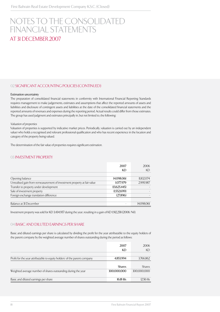### 02 SIGNIFICANT ACCOUNTING POLICIES (continued)

#### **Estimation uncertainty**

The preparation of consolidated financial statements in conformity with International Financial Reporting Standards requires management to make judgements, estimates and assumptions that affect the reported amounts of assets and liabilities and disclosure of contingent assets and liabilities at the date of the consolidated financial statements and the reported amounts of revenues and expenses during the reporting period. Actual results could differ from those estimates. The group has used judgment and estimates principally in, but not limited to, the following:

#### Valuation of properties

Valuation of properties is supported by indicative market prices. Periodically, valuation is carried out by an independent valuer who holds a recognised and relevant professional qualification and who has recent experience in the location and category of the property being valued.

The determination of the fair value of properties requires significant estimation.

# 03 INVESTMENT PROPERTY

|                                                                         | 2007<br>KD   | 2006<br>KD |
|-------------------------------------------------------------------------|--------------|------------|
| Opening balance                                                         | 14,098,061   | 11,102,074 |
| Unrealised gain from remeasurement of investment property at fair value | 1.077.979    | 2,995,987  |
| Transfer to property under development                                  | (13,625,445) |            |
| Sale of investment property                                             | (1,552,699)  |            |
| Foreign exchange translation difference                                 | (27,896)     |            |
|                                                                         |              |            |
| Balance at 31 December                                                  |              | 14.098.061 |

Investment property was sold for KD 3,434,957 during the year, resulting in a gain of KD 1,912,258 (2006: Nil).

### 04 BASIC AND DILUTED EARNINGS PER SHARE

Basic and diluted earnings per share is calculated by dividing the profit for the year attributable to the equity holders of the parent company by the weighted average number of shares outstanding during the period as follows:

|                                                                           | 2007<br>KD    | 2006<br>KD.   |
|---------------------------------------------------------------------------|---------------|---------------|
|                                                                           |               |               |
| Profit for the year attributable to equity holders' of the parent company | 4,853,994     | 3,766,862     |
|                                                                           |               |               |
|                                                                           | <b>Shares</b> | <b>Shares</b> |
| Weighted average number of shares outstanding during the year             | 300.000.000   | 300,000,000   |
| Basic and diluted earnings per share                                      | $16.18$ fils  | $12.56$ fils  |
|                                                                           |               |               |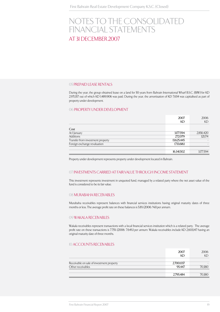### 05 Prepaid Lease Rentals

During the year, the group obtained lease on a land for 50 years from Bahrain International Wharf B.S.C. (BIW) for KD 2,971,357 out of which KD 1,489,906 was paid. During the year, the amortisation of KD 7,654 was capitalised as part of property under development.

# 06 PROPERTY UNDER DEVELOPMENT

|                                   | 2007<br><b>KD</b> | 2006<br>KD |
|-----------------------------------|-------------------|------------|
| Cost                              |                   |            |
| At I January                      | 3,177,594         | 2,856,420  |
| <b>Additions</b>                  | 272.079           | 321.174    |
| Transfer from investment property | 13,625,445        |            |
| Foreign exchange revaluation      | (733,616)         |            |
|                                   |                   |            |
|                                   | 16.341502         | 3.177.594  |

Property under development represents property under development located in Bahrain.

# 07INVESTMENTS CARRIED AT FAIR VALUE THROUGH INCOME STATEMENT

This investment represents investment in unquoted fund, managed by a related party where the net asset value of the fund is considered to be its fair value.

### 08 MURABAHA RECEIVABLES

Murabaha receivables represent balances with financial services institutions having original maturity dates of three months or less. The average profit rate on these balances is 5.8% (2006: Nil) per annum.

### 09 WAKALA RECEIVABLES

Wakala receivables represent transactions with a local financial services institution which is a related party. The average profit rate on these transactions is 7.75% (2006: 7.64%) per annum. Wakala receivables include KD 2,603,147 having an original maturity date of three months.

### 10 ACCOUNTS RECEIVABLES

|                                           | 2007<br>KD | 2006<br>KD |
|-------------------------------------------|------------|------------|
|                                           |            |            |
| Receivable on sale of investment property | 2,700,037  |            |
| Other receivables                         | 95.447     | 70,380     |
|                                           |            |            |
|                                           | 2.795.484  | 70380      |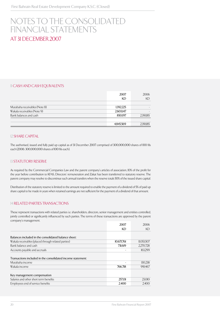# 11 CASH AND CASH EQUIVALENTS

|                               | 2007<br>KD | 2006<br>KD |
|-------------------------------|------------|------------|
|                               |            |            |
| Murabaha receivables (Note 8) | 1,392,225  |            |
| Wakala receivables (Note 9)   | 2,603,147  |            |
| Bank balances and cash        | 850.197    | 2,391,185  |
|                               |            |            |
|                               | 4.845.569  | 2,391,185  |

# 12 SHARE CAPITAL

The authorised, issued and fully paid up capital as of 31 December 2007 comprised of 300,000,000 shares of 100 fils each (2006: 300,000,000 shares of 100 fils each).

# 13 STATUTORY RESERVE

As required by the Commercial Companies Law and the parent company's articles of association, 10% of the profit for the year before contribution to KFAS, Directors' remuneration and Zakat has been transferred to statutory reserve. The parent company may resolve to discontinue such annual transfers when the reserve totals 50% of the issued share capital.

Distribution of the statutory reserve is limited to the amount required to enable the payment of a dividend of 5% of paid up share capital to be made in years when retained earnings are not sufficient for the payment of a dividend of that amount.

# 14 RELATED PARTIES TRANSACTIONS

These represent transactions with related parties i.e. shareholders, directors, senior management and entities controlled, jointly controlled or significantly influenced by such parties. The terms of these transactions are approved by the parent company's management.

| 2007       | 2006       |
|------------|------------|
| KD         | KD         |
|            |            |
|            |            |
| 10.671.761 | 11,053,507 |
| 731.619    | 2,270,728  |
|            | 163299     |
|            |            |
|            |            |
|            | 130.238    |
| 766.718    | 991.467    |
|            |            |
|            |            |
| 257.131    | 23,010     |
| 2.400      | 2.400      |
|            |            |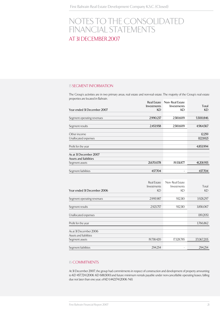# 15 SEGMENT INFORMATION

The Group's activities are in two primary areas, real estate and non-real estate. The majority of the Group's real estate properties are located in Bahrain.

|                             | <b>Real Estate</b> | Non-Real Estate |            |
|-----------------------------|--------------------|-----------------|------------|
|                             | Investments        | Investments     | Total      |
| Year ended 31 December 2007 | KD                 | KD              | <b>KD</b>  |
|                             |                    |                 |            |
| Segment operating revenues  | 2,990.237          | 2,510,609       | 5,500,846  |
|                             |                    |                 |            |
| Segment results             | 2,453,958          | 2,510,609       | 4,964,567  |
|                             |                    |                 |            |
| Other income                |                    |                 | 12,259     |
| Unallocated expenses        |                    |                 | (122, 832) |
|                             |                    |                 |            |
| Profit for the year         |                    |                 | 4,853,994  |
|                             |                    |                 |            |
| As at 31 December 2007      |                    |                 |            |
| Assets and liabilities      |                    |                 |            |
| Segment assets              | 21,670,078         | 19,531,877      | 41,201,955 |
|                             |                    |                 |            |
| Segment liabilities         | 437.704            |                 | 437,704    |
|                             |                    |                 |            |

| Year ended 31 December 2006 | <b>Real Estate</b><br>Investments<br>KD | Non-Real Estate<br>Investments<br>KD | Total<br><b>KD</b> |
|-----------------------------|-----------------------------------------|--------------------------------------|--------------------|
|                             |                                         |                                      |                    |
| Segment operating revenues  | 2,995,987                               | 932.310                              | 3,928,297          |
| Segment results             | 2,923,757                               | 932,310                              | 3,856,067          |
| Unallocated expenses        |                                         |                                      | (89,205)           |
| Profit for the year         |                                         |                                      | 3,766,862          |
| As at 31 December 2006      |                                         |                                      |                    |
| Assets and liabilities      |                                         |                                      |                    |
| Segment assets              | 19.738,420                              | 17,328,785                           | 37,067,205         |
|                             |                                         |                                      |                    |
| Segment liabilities         | 294254                                  |                                      | 294254             |

# 16 COMMITMENTS

At 31 December 2007, the group had commitments in respect of construction and development of property amounting to KD 457,724 (2006: KD 688,500) and future minimum rentals payable under non-cancellable operating leases, falling due not later than one year, of KD 1,442,174 (2006: Nil).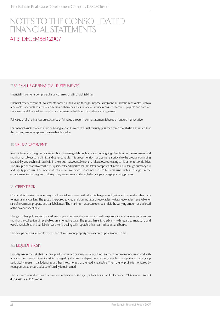### 17 FAIR VALUE OF FINANCIAL INSTRUMENTS

Financial instruments comprise of financial assets and financial liabilities.

Financial assets consist of investments carried at fair value through income statement, murabaha receivables, wakala receivables, accounts receivable and cash and bank balances. Financial liabilities consist of accounts payable and accruals. Fair values of all financial instruments, are not materially different from their carrying values.

Fair value of all the financial assets carried at fair value through income statement is based on quoted market price.

For financial assets that are liquid or having a short term contractual maturity (less than three months) it is assumed that the carrying amounts approximate to their fair value.

## 18 RISK MANAGEMENT

Risk is inherent in the group's activities but it is managed through a process of ongoing identification, measurement and monitoring, subject to risk limits and other controls. This process of risk management is critical to the group's continuing profitability and each individual within the group is accountable for the risk exposures relating to his or her responsibilities. The group is exposed to credit risk, liquidity risk and market risk, the latter comprises of interest risk, foreign currency risk and equity price risk. The independent risk control process does not include business risks such as changes in the environment technology and industry. They are monitored through the group's strategic planning process.

### 18.1 Credit risk

Credit risk is the risk that one party to a financial instrument will fail to discharge an obligation and cause the other party to incur a financial loss. The group is exposed to credit risk on murabaha receivables, wakala receivables, receivable for sale of investment property and bank balances. The maximum exposure to credit risk is the carrying amount as disclosed at the balance sheet date.

The group has policies and procedures in place to limit the amount of credit exposure to any counter party and to monitor the collection of receivables on an ongoing basis. The group limits its credit risk with regard to murabaha and wakala receivables and bank balances by only dealing with reputable financial institutions and banks.

The group's policy is to transfer ownership of investment property only after receipt of amount in full.

# 18.2 Liquidity risk

Liquidity risk is the risk that the group will encounter difficulty in raising funds to meet commitments associated with financial instruments. Liquidity risk is managed by the finance department of the group. To manage this risk, the group periodically invests in bank deposits or other investments that are readily realisable. The maturity profile is monitored by management to ensure adequate liquidity is maintained.

The contractual undiscounted repayment obligation of the groups liabilities as at 31 December 2007 amount to KD 437,704 (2006: KD294,254)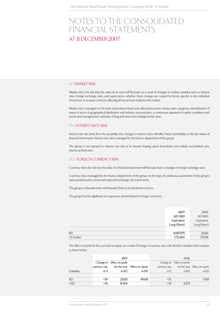# NOTES TO THE CONSOLIDATED FINANCIAL STATEMENTS AT 31 DECEMBER 2007

### 18.3 MARKET Risk

Market risk is the risk that the value of an asset will fluctuate as a result of changes in market variables such as interest rates, foreign exchange rates, and equity prices, whether those changes are caused by factors specific to the individual investment or its issuer or factors affecting all investments traded in the market.

Market risk is managed on the basis of pre-determined asset allocations across various asset categories, diversification of assets in terms of geographical distribution and industry concentration, a continuous appraisal of market conditions and trends and management's estimate of long and short term changes in fair value.

### 18.3.1 Interest rate risk

Interest rate risk arises from the possibility that changes in interest rates will affect future profitability or the fair values of financial instruments. Interest rate risk is managed by the finance department of the group.

The group is not exposed to interest rate risk as its interest bearing assets (murabaha and wakala receivables) carry interest at fixed rates.

### 18.3.2 Foreign currency risk

Currency risk is the risk that the value of a financial instrument will fluctuate due to changes in foreign exchange rates.

Currency risk is managed by the finance department of the group on the basis of continuous assessment of the group's open positions and current and expected exchange rate movements.

The group is a Kuwaiti entity with Kuwaiti Dinar as its functional currency.

The group had the significant net exposures, denominated in foreign currencies:

|                   | 2007<br>KD 000<br>Equivalent<br>Long (Short) | 2006<br><b>KD000</b><br>Equivalent<br>Long (Short) |
|-------------------|----------------------------------------------|----------------------------------------------------|
|                   |                                              |                                                    |
| <b>BD</b>         | 4,087,875                                    | 36,166                                             |
| <b>US Dollars</b> | 1,723,465                                    | 375,951                                            |

The effect on profit for the year and on equity, as a result of change in currency rate, with all other variables held constant is shown below:

|            |               | 2007                       |                               |               | 2006                       |                               |
|------------|---------------|----------------------------|-------------------------------|---------------|----------------------------|-------------------------------|
|            |               | Change in Effect on profit |                               |               | Change in Effect on profit |                               |
|            | currency rate |                            | for the year Effect on equity | currency rate |                            | for the year Effect on equity |
| Currency   | in $%$        | in $KD$                    | in KD                         | in $%$        | in $KD$                    | in $KD$                       |
|            |               |                            |                               |               |                            |                               |
| <b>BD</b>  | $+3%$         | 23.021                     | 99.615                        | $+3%$         |                            | 1.085                         |
| <b>USD</b> | $+3%$         | 51.704                     |                               | $+3\%$        | 11.279                     | $\overline{\phantom{a}}$      |